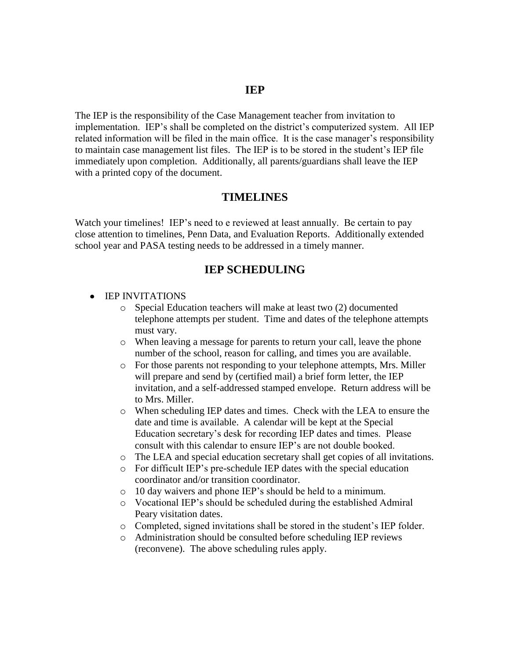#### **IEP**

The IEP is the responsibility of the Case Management teacher from invitation to implementation. IEP's shall be completed on the district's computerized system. All IEP related information will be filed in the main office. It is the case manager's responsibility to maintain case management list files. The IEP is to be stored in the student's IEP file immediately upon completion. Additionally, all parents/guardians shall leave the IEP with a printed copy of the document.

#### **TIMELINES**

Watch your timelines! IEP's need to e reviewed at least annually. Be certain to pay close attention to timelines, Penn Data, and Evaluation Reports. Additionally extended school year and PASA testing needs to be addressed in a timely manner.

#### **IEP SCHEDULING**

- **IEP INVITATIONS** 
	- o Special Education teachers will make at least two (2) documented telephone attempts per student. Time and dates of the telephone attempts must vary.
	- o When leaving a message for parents to return your call, leave the phone number of the school, reason for calling, and times you are available.
	- o For those parents not responding to your telephone attempts, Mrs. Miller will prepare and send by (certified mail) a brief form letter, the IEP invitation, and a self-addressed stamped envelope. Return address will be to Mrs. Miller.
	- o When scheduling IEP dates and times. Check with the LEA to ensure the date and time is available. A calendar will be kept at the Special Education secretary's desk for recording IEP dates and times. Please consult with this calendar to ensure IEP's are not double booked.
	- o The LEA and special education secretary shall get copies of all invitations.
	- o For difficult IEP's pre-schedule IEP dates with the special education coordinator and/or transition coordinator.
	- o 10 day waivers and phone IEP's should be held to a minimum.
	- o Vocational IEP's should be scheduled during the established Admiral Peary visitation dates.
	- o Completed, signed invitations shall be stored in the student's IEP folder.
	- o Administration should be consulted before scheduling IEP reviews (reconvene). The above scheduling rules apply.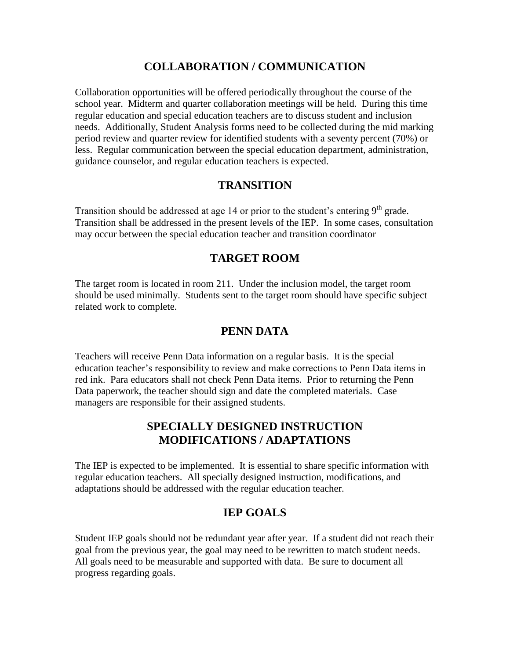## **COLLABORATION / COMMUNICATION**

Collaboration opportunities will be offered periodically throughout the course of the school year. Midterm and quarter collaboration meetings will be held. During this time regular education and special education teachers are to discuss student and inclusion needs. Additionally, Student Analysis forms need to be collected during the mid marking period review and quarter review for identified students with a seventy percent (70%) or less. Regular communication between the special education department, administration, guidance counselor, and regular education teachers is expected.

## **TRANSITION**

Transition should be addressed at age 14 or prior to the student's entering 9<sup>th</sup> grade. Transition shall be addressed in the present levels of the IEP. In some cases, consultation may occur between the special education teacher and transition coordinator

#### **TARGET ROOM**

The target room is located in room 211. Under the inclusion model, the target room should be used minimally. Students sent to the target room should have specific subject related work to complete.

## **PENN DATA**

Teachers will receive Penn Data information on a regular basis. It is the special education teacher's responsibility to review and make corrections to Penn Data items in red ink. Para educators shall not check Penn Data items. Prior to returning the Penn Data paperwork, the teacher should sign and date the completed materials. Case managers are responsible for their assigned students.

#### **SPECIALLY DESIGNED INSTRUCTION MODIFICATIONS / ADAPTATIONS**

The IEP is expected to be implemented. It is essential to share specific information with regular education teachers. All specially designed instruction, modifications, and adaptations should be addressed with the regular education teacher.

## **IEP GOALS**

Student IEP goals should not be redundant year after year. If a student did not reach their goal from the previous year, the goal may need to be rewritten to match student needs. All goals need to be measurable and supported with data. Be sure to document all progress regarding goals.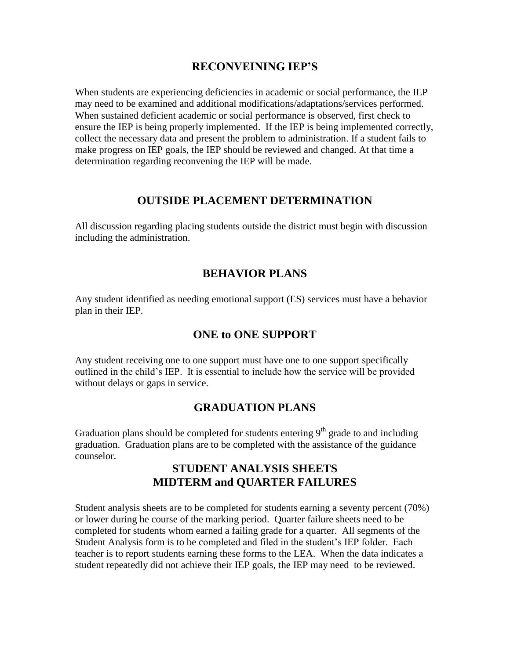#### **RECONVEINING IEP'S**

When students are experiencing deficiencies in academic or social performance, the IEP may need to be examined and additional modifications/adaptations/services performed. When sustained deficient academic or social performance is observed, first check to ensure the IEP is being properly implemented. If the IEP is being implemented correctly, collect the necessary data and present the problem to administration. If a student fails to make progress on IEP goals, the IEP should be reviewed and changed. At that time a determination regarding reconvening the IEP will be made.

#### **OUTSIDE PLACEMENT DETERMINATION**

All discussion regarding placing students outside the district must begin with discussion including the administration.

## **BEHAVIOR PLANS**

Any student identified as needing emotional support (ES) services must have a behavior plan in their IEP.

#### **ONE to ONE SUPPORT**

Any student receiving one to one support must have one to one support specifically outlined in the child's IEP. It is essential to include how the service will be provided without delays or gaps in service.

#### **GRADUATION PLANS**

Graduation plans should be completed for students entering  $9<sup>th</sup>$  grade to and including graduation. Graduation plans are to be completed with the assistance of the guidance counselor.

## **STUDENT ANALYSIS SHEETS MIDTERM and QUARTER FAILURES**

Student analysis sheets are to be completed for students earning a seventy percent (70%) or lower during he course of the marking period. Quarter failure sheets need to be completed for students whom earned a failing grade for a quarter. All segments of the Student Analysis form is to be completed and filed in the student's IEP folder. Each teacher is to report students earning these forms to the LEA. When the data indicates a student repeatedly did not achieve their IEP goals, the IEP may need to be reviewed.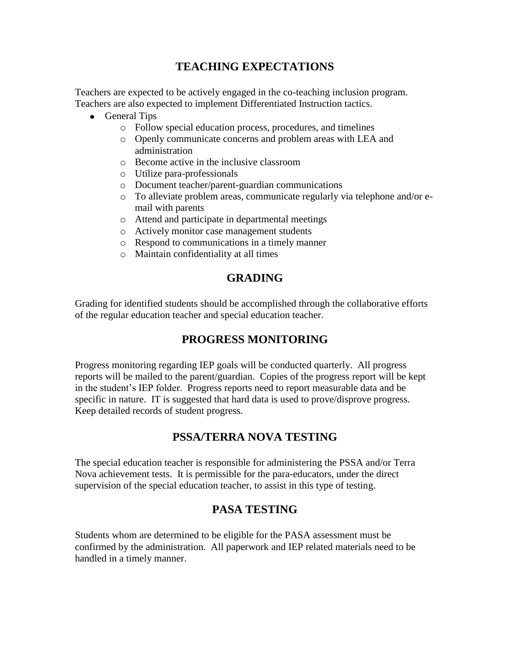## **TEACHING EXPECTATIONS**

Teachers are expected to be actively engaged in the co-teaching inclusion program. Teachers are also expected to implement Differentiated Instruction tactics.

- General Tips
	- o Follow special education process, procedures, and timelines
	- o Openly communicate concerns and problem areas with LEA and administration
	- o Become active in the inclusive classroom
	- o Utilize para-professionals
	- o Document teacher/parent-guardian communications
	- o To alleviate problem areas, communicate regularly via telephone and/or email with parents
	- o Attend and participate in departmental meetings
	- o Actively monitor case management students
	- o Respond to communications in a timely manner
	- o Maintain confidentiality at all times

# **GRADING**

Grading for identified students should be accomplished through the collaborative efforts of the regular education teacher and special education teacher.

## **PROGRESS MONITORING**

Progress monitoring regarding IEP goals will be conducted quarterly. All progress reports will be mailed to the parent/guardian. Copies of the progress report will be kept in the student's IEP folder. Progress reports need to report measurable data and be specific in nature. IT is suggested that hard data is used to prove/disprove progress. Keep detailed records of student progress.

# **PSSA/TERRA NOVA TESTING**

The special education teacher is responsible for administering the PSSA and/or Terra Nova achievement tests. It is permissible for the para-educators, under the direct supervision of the special education teacher, to assist in this type of testing.

# **PASA TESTING**

Students whom are determined to be eligible for the PASA assessment must be confirmed by the administration. All paperwork and IEP related materials need to be handled in a timely manner.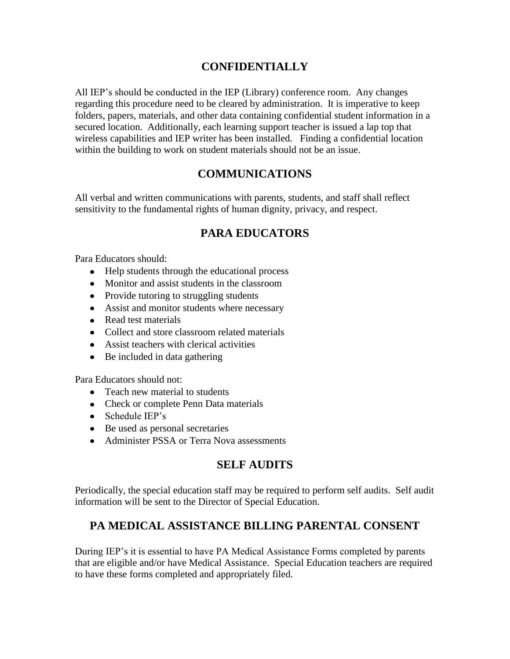## **CONFIDENTIALLY**

All IEP's should be conducted in the IEP (Library) conference room. Any changes regarding this procedure need to be cleared by administration. It is imperative to keep folders, papers, materials, and other data containing confidential student information in a secured location. Additionally, each learning support teacher is issued a lap top that wireless capabilities and IEP writer has been installed. Finding a confidential location within the building to work on student materials should not be an issue.

## **COMMUNICATIONS**

All verbal and written communications with parents, students, and staff shall reflect sensitivity to the fundamental rights of human dignity, privacy, and respect.

## **PARA EDUCATORS**

Para Educators should:

- Help students through the educational process
- Monitor and assist students in the classroom
- Provide tutoring to struggling students
- Assist and monitor students where necessary
- Read test materials
- Collect and store classroom related materials
- Assist teachers with clerical activities
- Be included in data gathering

Para Educators should not:

- Teach new material to students
- Check or complete Penn Data materials
- Schedule IEP's
- Be used as personal secretaries
- Administer PSSA or Terra Nova assessments

## **SELF AUDITS**

Periodically, the special education staff may be required to perform self audits. Self audit information will be sent to the Director of Special Education.

## **PA MEDICAL ASSISTANCE BILLING PARENTAL CONSENT**

During IEP's it is essential to have PA Medical Assistance Forms completed by parents that are eligible and/or have Medical Assistance. Special Education teachers are required to have these forms completed and appropriately filed.